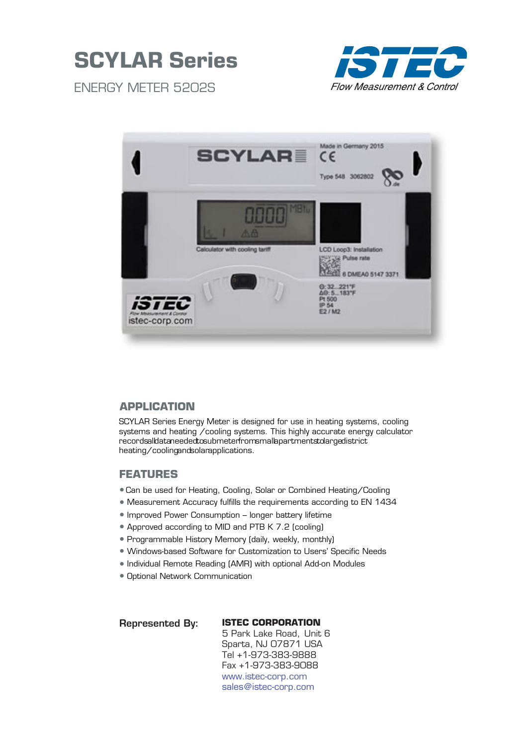



ENERGY METER 5202S



## **APPLICATION**

SCYLAR Series Energy Meter is designed for use in heating systems, cooling systems and heating /cooling systems. This highly accurate energy calculator recordsalldataneededtosubmeterfromsmallapartmentstolargedistrict heating/coolingandsolarapplications.

## **FEATURES**

- •Can be used for Heating, Cooling, Solar or Combined Heating/Cooling
- Measurement Accuracy fulfills the requirements according to EN 1434
- Improved Power Consumption longer battery lifetime
- Approved according to MID and PTB K 7.2 (cooling)
- Programmable History Memory (daily, weekly, monthly)
- Windows-based Software for Customization to Users' Specific Needs
- Individual Remote Reading (AMR) with optional Add-on Modules
- Optional Network Communication

Represented By:

#### **ISTEC CORPORATION** 5 Park Lake Road, Unit 6

Sparta, NJ 07871 USA Tel +1-973-383-9888 Fax +1-973-383-9088 www.istec-corp.com sales@istec-corp.com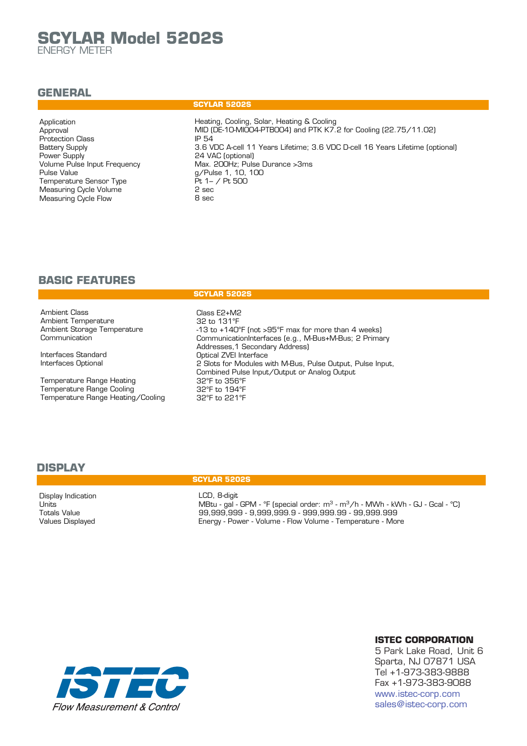# **SCYLAR Model 5202S**

ENERGY METER

## **GENERAL**

#### Application Approval Protection Class Battery Supply Power Supply Volume Pulse Input Frequency Pulse Value Temperature Sensor Type Measuring Cycle Volume Measuring Cycle Flow

#### **SCYLAR 5202S**

Heating, Cooling, Solar, Heating & Cooling MID (DE-10-MI004-PTB004) and PTK K7.2 for Cooling (22.75/11.02) IP 54 3.6 VDC A-cell 11 Years Lifetime; 3.6 VDC D-cell 16 Years Lifetime (optional) 24 VAC (optional) Max. 200Hz; Pulse Durance >3ms g/Pulse 1, 10, 100  $Pt 1 - / Pt 500$ 2 sec 8 sec

## **BASIC FEATURES**

Ambient Class Ambient Temperature Ambient Storage Temperature **Communication** 

Interfaces Standard Interfaces Optional

Temperature Range Heating Temperature Range Cooling Temperature Range Heating/Cooling

#### **SCYLAR 5202S**

Class E2+M2 32 to 131°F -13 to +140°F (not >95°F max for more than 4 weeks) CommunicationInterfaces (e.g., M-Bus+M-Bus; 2 Primary Addresses,1 Secondary Address) Optical ZVEI Interface 2 Slots for Modules with M-Bus, Pulse Output, Pulse Input, Combined Pulse Input/Output or Analog Output 32°F to 356°F 32°F to 194°F 32°F to 221°F

## **DISPLAY**

Display Indication Units Totals Value Values Displayed

#### **SCYLAR 5202S**

LCD, 8-digit MBtu - gal - GPM - °F (special order: m<sup>3</sup> - m<sup>3</sup>/h - MWh - kWh - GJ - Gcal - °C) 99,999,999 - 9,999,999.9 - 999,999.99 - 99,999.999 Energy - Power - Volume - Flow Volume - Temperature - More



#### **ISTEC CORPORATION**

5 Park Lake Road, Unit 6 Sparta, NJ 07871 USA Tel +1-973-383-9888 Fax +1-973-383-9088 www.istec-corp.com sales@istec-corp.com